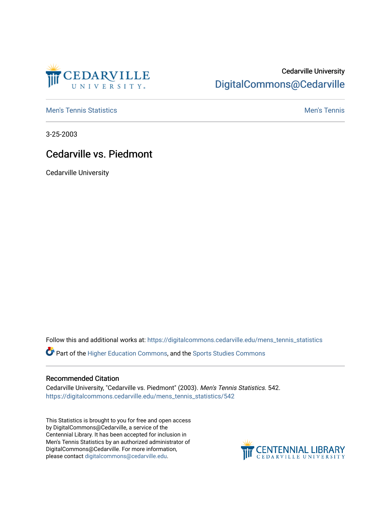

## Cedarville University [DigitalCommons@Cedarville](https://digitalcommons.cedarville.edu/)

**[Men's Tennis Statistics](https://digitalcommons.cedarville.edu/mens_tennis_statistics) Mental According to the Control of Control According Mental Men's Tennis** 

3-25-2003

## Cedarville vs. Piedmont

Cedarville University

Follow this and additional works at: [https://digitalcommons.cedarville.edu/mens\\_tennis\\_statistics](https://digitalcommons.cedarville.edu/mens_tennis_statistics?utm_source=digitalcommons.cedarville.edu%2Fmens_tennis_statistics%2F542&utm_medium=PDF&utm_campaign=PDFCoverPages)

Part of the [Higher Education Commons,](http://network.bepress.com/hgg/discipline/1245?utm_source=digitalcommons.cedarville.edu%2Fmens_tennis_statistics%2F542&utm_medium=PDF&utm_campaign=PDFCoverPages) and the [Sports Studies Commons](http://network.bepress.com/hgg/discipline/1198?utm_source=digitalcommons.cedarville.edu%2Fmens_tennis_statistics%2F542&utm_medium=PDF&utm_campaign=PDFCoverPages) 

## Recommended Citation

Cedarville University, "Cedarville vs. Piedmont" (2003). Men's Tennis Statistics. 542. [https://digitalcommons.cedarville.edu/mens\\_tennis\\_statistics/542](https://digitalcommons.cedarville.edu/mens_tennis_statistics/542?utm_source=digitalcommons.cedarville.edu%2Fmens_tennis_statistics%2F542&utm_medium=PDF&utm_campaign=PDFCoverPages) 

This Statistics is brought to you for free and open access by DigitalCommons@Cedarville, a service of the Centennial Library. It has been accepted for inclusion in Men's Tennis Statistics by an authorized administrator of DigitalCommons@Cedarville. For more information, please contact [digitalcommons@cedarville.edu](mailto:digitalcommons@cedarville.edu).